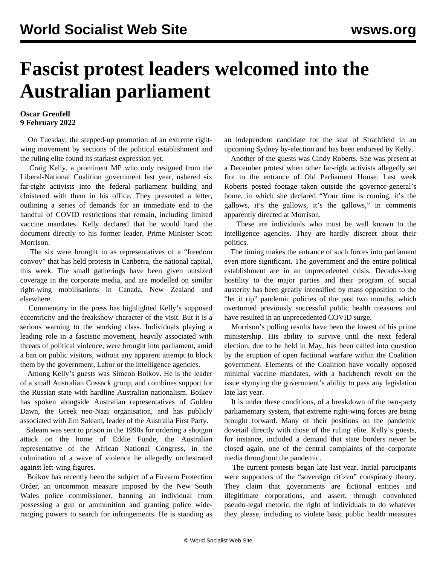## **Fascist protest leaders welcomed into the Australian parliament**

## **Oscar Grenfell 9 February 2022**

 On Tuesday, the stepped-up promotion of an extreme rightwing movement by sections of the political establishment and the ruling elite found its starkest expression yet.

 Craig Kelly, a prominent MP who only resigned from the Liberal-National Coalition government last year, ushered six far-right activists into the federal parliament building and cloistered with them in his office. They presented a letter, outlining a series of demands for an immediate end to the handful of COVID restrictions that remain, including limited vaccine mandates. Kelly declared that he would hand the document directly to his former leader, Prime Minister Scott Morrison.

 The six were brought in as representatives of a "freedom convoy" that has held protests in Canberra, the national capital, this week. The small gatherings have been given outsized coverage in the corporate media, and are modelled on similar right-wing mobilisations in Canada, New Zealand and elsewhere.

 Commentary in the press has highlighted Kelly's supposed eccentricity and the freakshow character of the visit. But it is a serious warning to the working class. Individuals playing a leading role in a fascistic movement, heavily associated with threats of political violence, were brought into parliament, amid a ban on public visitors, without any apparent attempt to block them by the government, Labor or the intelligence agencies.

 Among Kelly's guests was Simeon Boikov. He is the leader of a small Australian Cossack group, and combines support for the Russian state with hardline Australian nationalism. Boikov has spoken alongside Australian representatives of Golden Dawn, the Greek neo-Nazi organisation, and has publicly associated with Jim Saleam, leader of the Australia First Party.

 Saleam was sent to prison in the 1990s for ordering a shotgun attack on the home of Eddie Funde, the Australian representative of the African National Congress, in the culmination of a wave of violence he allegedly orchestrated against left-wing figures.

 Boikov has recently been the subject of a Firearm Protection Order, an uncommon measure imposed by the New South Wales police commissioner, banning an individual from possessing a gun or ammunition and granting police wideranging powers to search for infringements. He is standing as an independent candidate for the seat of Strathfield in an upcoming Sydney by-election and has been endorsed by Kelly.

 Another of the guests was Cindy Roberts. She was present at a December protest when other far-right activists allegedly set fire to the entrance of Old Parliament House. Last week Roberts posted footage taken outside the governor-general's home, in which she declared "Your time is coming, it's the gallows, it's the gallows, it's the gallows," in comments apparently directed at Morrison.

 These are individuals who must be well known to the intelligence agencies. They are hardly discreet about their politics.

 The timing makes the entrance of such forces into parliament even more significant. The government and the entire political establishment are in an unprecedented crisis. Decades-long hostility to the major parties and their program of social austerity has been greatly intensified by mass opposition to the "let it rip" pandemic policies of the past two months, which overturned previously successful public health measures and have resulted in an unprecedented COVID surge.

 Morrison's polling results have been the lowest of his prime ministership. His ability to survive until the next federal election, due to be held in May, has been called into question by the eruption of open factional warfare within the Coalition government. Elements of the Coalition have vocally opposed minimal vaccine mandates, with a backbench revolt on the issue stymying the government's ability to pass any legislation late last year.

 It is under these conditions, of a breakdown of the two-party parliamentary system, that extreme right-wing forces are being brought forward. Many of their positions on the pandemic dovetail directly with those of the ruling elite. Kelly's guests, for instance, included a demand that state borders never be closed again, one of the central complaints of the corporate media throughout the pandemic.

 The current protests began late last year. Initial participants were supporters of the "sovereign citizen" conspiracy theory. They claim that governments are fictional entities and illegitimate corporations, and assert, through convoluted pseudo-legal rhetoric, the right of individuals to do whatever they please, including to violate basic public health measures